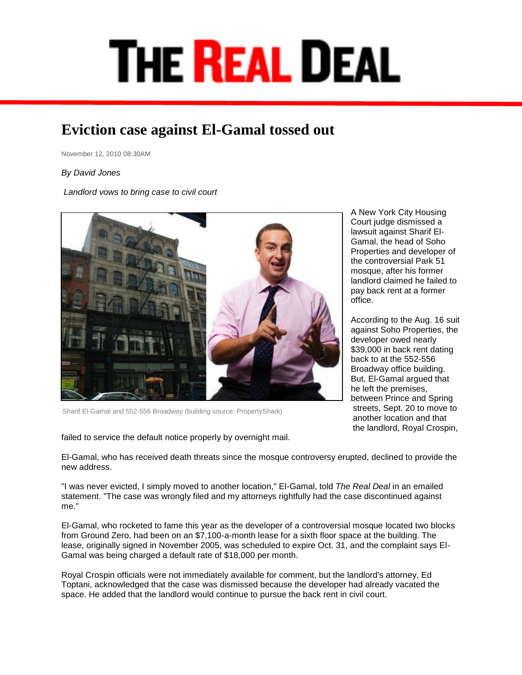## **THE REAL DEAL**

## **Eviction case against El-Gamal tossed out**

November 12, 2010 08:30AM

## *By David Jones*

*Landlord vows to bring case to civil court*



Sharif El-Gamal and 552-556 Broadway (building source: PropertyShark)

failed to service the default notice properly by overnight mail.

A New York City Housing Court judge dismissed a lawsuit against [Sharif El-](http://therealdeal.com/newyork/articles/the-closing-sharif-el-gamal)[Gamal,](http://therealdeal.com/newyork/articles/the-closing-sharif-el-gamal) the head of Soho Properties and developer of the controversial [Park 51](http://therealdeal.com/newyork/articles/park-51-developer-sharif-el-gamal-responds-to-the-real-deal-publisher-amir-korangy-questions-at-annual-forum-at-lincoln-center)  [mosque,](http://therealdeal.com/newyork/articles/park-51-developer-sharif-el-gamal-responds-to-the-real-deal-publisher-amir-korangy-questions-at-annual-forum-at-lincoln-center) after his former landlord claimed he failed to pay back rent at a former office.

According to the Aug. 16 suit against Soho Properties, the developer owed nearly \$39,000 in back rent dating back to at the 552-556 Broadway office building. But, El-Gamal argued that he left the premises, between Prince and Spring streets, Sept. 20 to move to another location and that the landlord, Royal Crospin,

El-Gamal, who has received death threats since the mosque controversy erupted, declined to provide the new address.

"I was never evicted, I simply moved to another location," El-Gamal, told *The Real Deal* in an emailed statement. "The case was wrongly filed and my attorneys rightfully had the case discontinued against me."

El-Gamal, who rocketed to fame this year as the developer of a [controversial mosque](http://therealdeal.com/newyork/articles/arab-buyers-after-park51) located two blocks from Ground Zero, had been on an \$7,100-a-month lease for a sixth floor space at the building. The lease, originally signed in November 2005, was scheduled to expire Oct. 31, and the complaint says El-Gamal was being charged a default rate of \$18,000 per month.

Royal Crospin officials were not immediately available for comment, but the landlord's attorney, Ed Toptani, acknowledged that the case was dismissed because the developer had already vacated the space. He added that the landlord would continue to pursue the back rent in civil court.